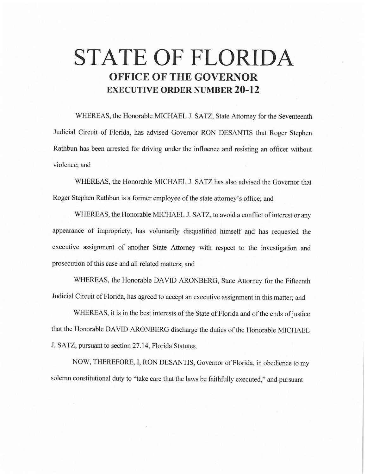# **STATE OF FLORIDA OFFICE OF THE GOVERNOR EXECUTIVE ORDER NUMBER 20-12**

WHEREAS, the Honorable MICHAEL J. SATZ, State Attorney for the Seventeenth Judicial Circuit of Florida, has advised Governor RON DESANTIS that Roger Stephen Rathbun has been arrested for driving under the influence and resisting an officer without violence; and

WHEREAS, the Honorable MICHAEL J. SATZ has also advised the Governor that Roger Stephen Rathbun is a former employee of the state attorney's office; and

WHEREAS, the Honorable MICHAEL J. SATZ, to avoid a conflict of interest or any appearance of impropriety, has voluntarily disqualified himself and has requested the executive assignment of another State Attorney with respect to the investigation and prosecution of this case and all related matters; and

WHEREAS, the Honorable DAVID ARONBERG, State Attorney for the Fifteenth Judicial Circuit of Florida, has agreed to accept an executive assignment in this matter; and

WHEREAS, it is in the best interests of the State of Florida and of the ends of justice that the Honorable DAVID ARONBERG discharge the duties of the Honorable MICHAEL J. SATZ, pursuant to section 27.14, Florida Statutes.

NOW, THEREFORE, I, RON DESANTIS, Governor of Florida, in obedience to my solemn constitutional duty to "take care that the laws be faithfully executed," and pursuant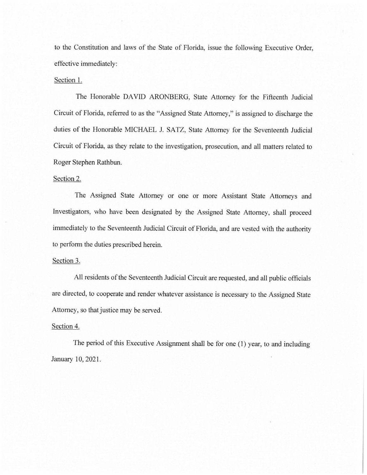to the Constitution and laws of the State of Florida, issue the following Executive Order, effective immediately:

## Section 1.

The Honorable DAVID ARONBERG, State Attorney for the Fifteenth Judicial Circuit of Florida, referred to as the "Assigned State Attorney," is assigned to discharge the duties of the Honorable MICHAEL J. SATZ, State Attorney for the Seventeenth Judicial Circuit of Florida, as they relate to the investigation, prosecution, and all matters related to Roger Stephen Rathbun.

## Section 2.

The Assigned State Attorney or one or more Assistant State Attorneys and Investigators, who have been designated by the Assigned State Attorney, shall proceed immediately to the Seventeenth Judicial Circuit of Florida, and are vested with the authority to perform the duties prescribed herein.

### Section 3.

All residents of the Seventeenth Judicial Circuit are requested, and all public officials are directed, to cooperate and render whatever assistance is necessary to the Assigned State Attorney, so that justice may be served.

### Section 4.

The period of this Executive Assignment shall be for one (1) year, to and including January 10, 2021.